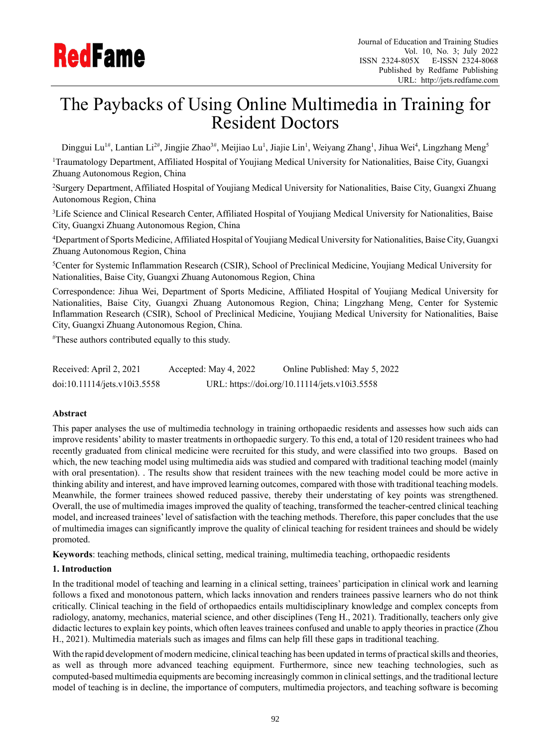

# The Paybacks of Using Online Multimedia in Training for Resident Doctors

Dinggui Lu<sup>1#</sup>, Lantian Li<sup>2#</sup>, Jingjie Zhao<sup>3#</sup>, Meijiao Lu<sup>1</sup>, Jiajie Lin<sup>1</sup>, Weiyang Zhang<sup>1</sup>, Jihua Wei<sup>4</sup>, Lingzhang Meng<sup>5</sup>

<sup>1</sup>Traumatology Department, Affiliated Hospital of Youjiang Medical University for Nationalities, Baise City, Guangxi Zhuang Autonomous Region, China

<sup>2</sup>Surgery Department, Affiliated Hospital of Youjiang Medical University for Nationalities, Baise City, Guangxi Zhuang Autonomous Region, China

<sup>3</sup>Life Science and Clinical Research Center, Affiliated Hospital of Youjiang Medical University for Nationalities, Baise City, Guangxi Zhuang Autonomous Region, China

<sup>4</sup>Department of Sports Medicine, Affiliated Hospital of Youjiang Medical University for Nationalities, Baise City, Guangxi Zhuang Autonomous Region, China

<sup>5</sup>Center for Systemic Inflammation Research (CSIR), School of Preclinical Medicine, Youjiang Medical University for Nationalities, Baise City, Guangxi Zhuang Autonomous Region, China

Correspondence: Jihua Wei, Department of Sports Medicine, Affiliated Hospital of Youjiang Medical University for Nationalities, Baise City, Guangxi Zhuang Autonomous Region, China; Lingzhang Meng, Center for Systemic Inflammation Research (CSIR), School of Preclinical Medicine, Youjiang Medical University for Nationalities, Baise City, Guangxi Zhuang Autonomous Region, China.

#These authors contributed equally to this study.

Received: April 2, 2021 Accepted: May 4, 2022 Online Published: May 5, 2022 doi:10.11114/jets.v10i3.5558 URL: https://doi.org/10.11114/jets.v10i3.5558

# **Abstract**

This paper analyses the use of multimedia technology in training orthopaedic residents and assesses how such aids can improve residents' ability to master treatments in orthopaedic surgery. To this end, a total of 120 resident trainees who had recently graduated from clinical medicine were recruited for this study, and were classified into two groups. Based on which, the new teaching model using multimedia aids was studied and compared with traditional teaching model (mainly with oral presentation). . The results show that resident trainees with the new teaching model could be more active in thinking ability and interest, and have improved learning outcomes, compared with those with traditional teaching models. Meanwhile, the former trainees showed reduced passive, thereby their understating of key points was strengthened. Overall, the use of multimedia images improved the quality of teaching, transformed the teacher-centred clinical teaching model, and increased trainees'level of satisfaction with the teaching methods. Therefore, this paper concludes that the use of multimedia images can significantly improve the quality of clinical teaching for resident trainees and should be widely promoted.

**Keywords**: teaching methods, clinical setting, medical training, multimedia teaching, orthopaedic residents

#### **1. Introduction**

In the traditional model of teaching and learning in a clinical setting, trainees' participation in clinical work and learning follows a fixed and monotonous pattern, which lacks innovation and renders trainees passive learners who do not think critically. Clinical teaching in the field of orthopaedics entails multidisciplinary knowledge and complex concepts from radiology, anatomy, mechanics, material science, and other disciplines (Teng H., 2021). Traditionally, teachers only give didactic lectures to explain key points, which often leaves trainees confused and unable to apply theories in practice (Zhou H., 2021). Multimedia materials such as images and films can help fill these gaps in traditional teaching.

With the rapid development of modern medicine, clinical teaching has been updated in terms of practical skills and theories, as well as through more advanced teaching equipment. Furthermore, since new teaching technologies, such as computed-based multimedia equipments are becoming increasingly common in clinicalsettings, and the traditional lecture model of teaching is in decline, the importance of computers, multimedia projectors, and teaching software is becoming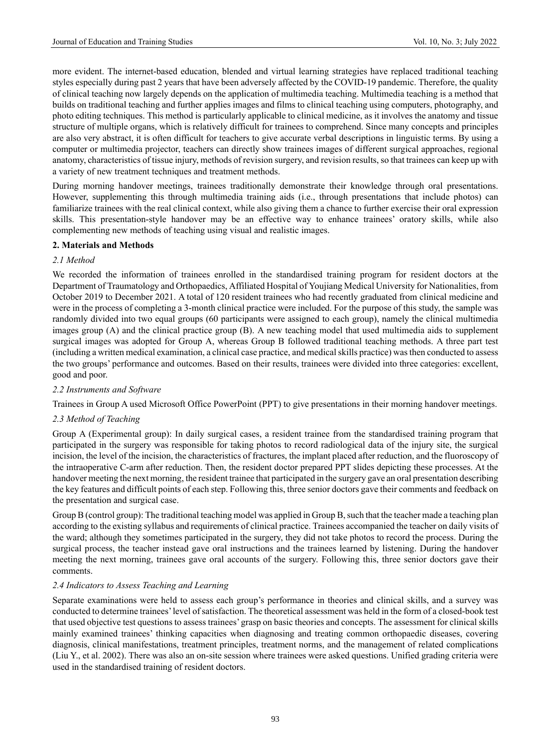more evident. The internet-based education, blended and virtual learning strategies have replaced traditional teaching styles especially during past 2 years that have been adversely affected by the COVID-19 pandemic. Therefore, the quality of clinical teaching now largely depends on the application of multimedia teaching. Multimedia teaching is a method that builds on traditional teaching and further applies images and films to clinical teaching using computers, photography, and photo editing techniques. This method is particularly applicable to clinical medicine, as it involves the anatomy and tissue structure of multiple organs, which is relatively difficult for trainees to comprehend. Since many concepts and principles are also very abstract, it is often difficult for teachers to give accurate verbal descriptions in linguistic terms. By using a computer or multimedia projector, teachers can directly show trainees images of different surgical approaches, regional anatomy, characteristics of tissue injury, methods of revision surgery, and revision results,so that trainees can keep up with a variety of new treatment techniques and treatment methods.

During morning handover meetings, trainees traditionally demonstrate their knowledge through oral presentations. However, supplementing this through multimedia training aids (i.e., through presentations that include photos) can familiarize trainees with the real clinical context, while also giving them a chance to further exercise their oral expression skills. This presentation-style handover may be an effective way to enhance trainees' oratory skills, while also complementing new methods of teaching using visual and realistic images.

## **2. Materials and Methods**

## *2.1 Method*

We recorded the information of trainees enrolled in the standardised training program for resident doctors at the Department of Traumatology and Orthopaedics, Affiliated Hospital of Youjiang Medical University for Nationalities, from October 2019 to December 2021. A total of 120 resident trainees who had recently graduated from clinical medicine and were in the process of completing a 3-month clinical practice were included. For the purpose of this study, the sample was randomly divided into two equal groups (60 participants were assigned to each group), namely the clinical multimedia images group (A) and the clinical practice group (B). A new teaching model that used multimedia aids to supplement surgical images was adopted for Group A, whereas Group B followed traditional teaching methods. A three part test (including a written medical examination, a clinical case practice, and medicalskills practice) wasthen conducted to assess the two groups' performance and outcomes. Based on their results, trainees were divided into three categories: excellent, good and poor.

#### *2.2 Instruments and Software*

Trainees in Group A used Microsoft Office PowerPoint (PPT) to give presentations in their morning handover meetings.

# *2.3 Method of Teaching*

Group A (Experimental group): In daily surgical cases, a resident trainee from the standardised training program that participated in the surgery was responsible for taking photos to record radiological data of the injury site, the surgical incision, the level of the incision, the characteristics of fractures, the implant placed after reduction, and the fluoroscopy of the intraoperative C-arm after reduction. Then, the resident doctor prepared PPT slides depicting these processes. At the handover meeting the next morning, the resident trainee that participated in the surgery gave an oral presentation describing the key features and difficult points of each step. Following this, three senior doctors gave their comments and feedback on the presentation and surgical case.

Group B (control group): The traditional teaching model was applied in Group B, such that the teacher made a teaching plan according to the existing syllabus and requirements of clinical practice. Trainees accompanied the teacher on daily visits of the ward; although they sometimes participated in the surgery, they did not take photos to record the process. During the surgical process, the teacher instead gave oral instructions and the trainees learned by listening. During the handover meeting the next morning, trainees gave oral accounts of the surgery. Following this, three senior doctors gave their comments.

#### *2.4 Indicators to Assess Teaching and Learning*

Separate examinations were held to assess each group's performance in theories and clinical skills, and a survey was conducted to determine trainees'level ofsatisfaction. The theoretical assessment was held in the form of a closed-book test that used objective test questions to assess trainees' grasp on basic theories and concepts. The assessment for clinical skills mainly examined trainees' thinking capacities when diagnosing and treating common orthopaedic diseases, covering diagnosis, clinical manifestations, treatment principles, treatment norms, and the management of related complications (Liu Y., et al. 2002). There was also an on-site session where trainees were asked questions. Unified grading criteria were used in the standardised training of resident doctors.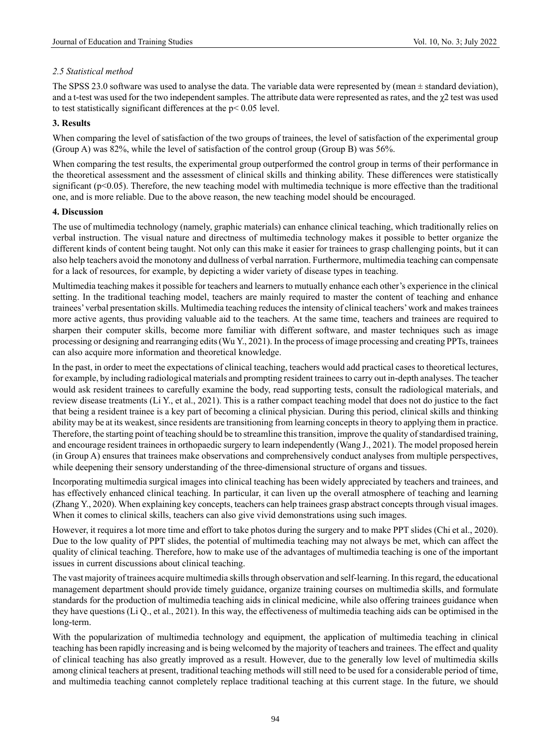# *2.5 Statistical method*

The SPSS 23.0 software was used to analyse the data. The variable data were represented by (mean  $\pm$  standard deviation), and a t-test was used for the two independent samples. The attribute data were represented as rates, and the  $\chi$ 2 test was used to test statistically significant differences at the p< 0.05 level.

## **3. Results**

When comparing the level of satisfaction of the two groups of trainees, the level of satisfaction of the experimental group (Group A) was 82%, while the level of satisfaction of the control group (Group B) was 56%.

When comparing the test results, the experimental group outperformed the control group in terms of their performance in the theoretical assessment and the assessment of clinical skills and thinking ability. These differences were statistically significant (p<0.05). Therefore, the new teaching model with multimedia technique is more effective than the traditional one, and is more reliable. Due to the above reason, the new teaching model should be encouraged.

## **4. Discussion**

The use of multimedia technology (namely, graphic materials) can enhance clinical teaching, which traditionally relies on verbal instruction. The visual nature and directness of multimedia technology makes it possible to better organize the different kinds of content being taught. Not only can this make it easier for trainees to grasp challenging points, but it can also help teachers avoid the monotony and dullness of verbal narration. Furthermore, multimedia teaching can compensate for a lack of resources, for example, by depicting a wider variety of disease types in teaching.

Multimedia teaching makesit possible for teachers and learnersto mutually enhance each other's experience in the clinical setting. In the traditional teaching model, teachers are mainly required to master the content of teaching and enhance trainees'verbal presentation skills. Multimedia teaching reducesthe intensity of clinical teachers'work and makestrainees more active agents, thus providing valuable aid to the teachers. At the same time, teachers and trainees are required to sharpen their computer skills, become more familiar with different software, and master techniques such as image processing or designing and rearranging edits(Wu Y., 2021). In the process of image processing and creating PPTs, trainees can also acquire more information and theoretical knowledge.

In the past, in order to meet the expectations of clinical teaching, teachers would add practical cases to theoretical lectures, for example, by including radiological materials and prompting resident traineesto carry out in-depth analyses. The teacher would ask resident trainees to carefully examine the body, read supporting tests, consult the radiological materials, and review disease treatments (Li Y., et al., 2021). This is a rather compact teaching model that does not do justice to the fact that being a resident trainee is a key part of becoming a clinical physician. During this period, clinical skills and thinking ability may be at its weakest, since residents are transitioning from learning concepts in theory to applying them in practice. Therefore, the starting point of teaching should be to streamline this transition, improve the quality of standardised training, and encourage resident trainees in orthopaedic surgery to learn independently (Wang J., 2021). The model proposed herein (in Group A) ensures that trainees make observations and comprehensively conduct analyses from multiple perspectives, while deepening their sensory understanding of the three-dimensional structure of organs and tissues.

Incorporating multimedia surgical images into clinical teaching has been widely appreciated by teachers and trainees, and has effectively enhanced clinical teaching. In particular, it can liven up the overall atmosphere of teaching and learning (Zhang Y., 2020). When explaining key concepts, teachers can help trainees grasp abstract concepts through visual images. When it comes to clinical skills, teachers can also give vivid demonstrations using such images.

However, it requires a lot more time and effort to take photos during the surgery and to make PPT slides (Chi et al., 2020). Due to the low quality of PPT slides, the potential of multimedia teaching may not always be met, which can affect the quality of clinical teaching. Therefore, how to make use of the advantages of multimedia teaching is one of the important issues in current discussions about clinical teaching.

The vast majority of trainees acquire multimedia skills through observation and self-learning. In this regard, the educational management department should provide timely guidance, organize training courses on multimedia skills, and formulate standards for the production of multimedia teaching aids in clinical medicine, while also offering trainees guidance when they have questions (Li Q., et al., 2021). In this way, the effectiveness of multimedia teaching aids can be optimised in the long-term.

With the popularization of multimedia technology and equipment, the application of multimedia teaching in clinical teaching has been rapidly increasing and is being welcomed by the majority of teachers and trainees. The effect and quality of clinical teaching has also greatly improved as a result. However, due to the generally low level of multimedia skills among clinical teachers at present, traditional teaching methods will still need to be used for a considerable period of time, and multimedia teaching cannot completely replace traditional teaching at this current stage. In the future, we should